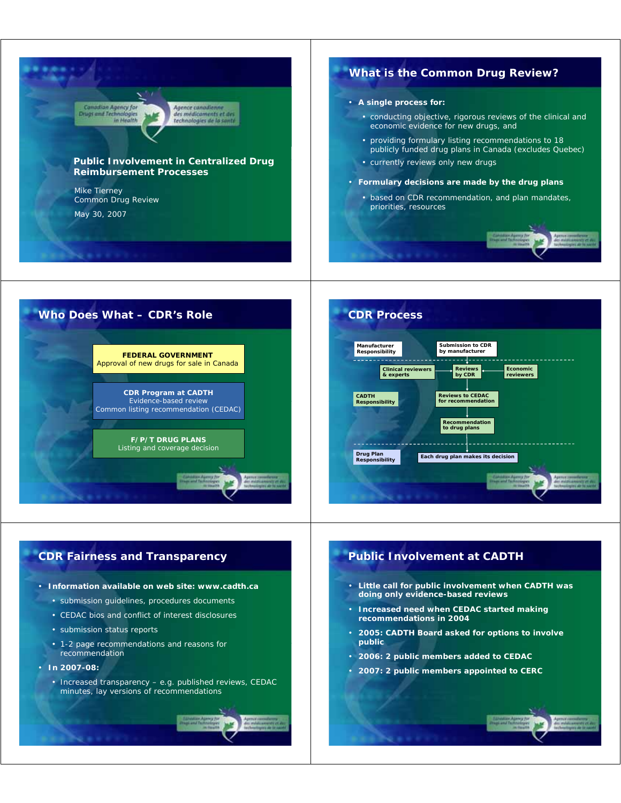





### **CDR Fairness and Transparency**

#### • **Information available on web site: www.cadth.ca**

- submission guidelines, procedures documents
- CEDAC bios and conflict of interest disclosures
- submission status reports
- 1-2 page recommendations and reasons for recommendation
- **In 2007-08:**
	- Increased transparency e.g. published reviews, CEDAC minutes, lay versions of recommendations

## **Public Involvement at CADTH**

- **Little call for public involvement when CADTH was doing only evidence-based reviews**
- **Increased need when CEDAC started making recommendations in 2004**
- **2005: CADTH Board asked for options to involve public**
- **2006: 2 public members added to CEDAC**
- **2007: 2 public members appointed to CERC**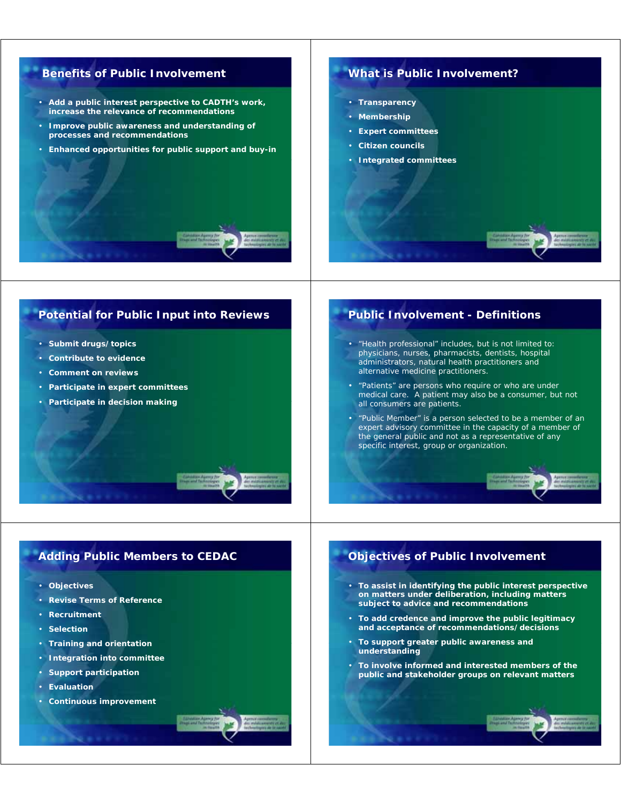# **Benefits of Public Involvement**

- **Add a public interest perspective to CADTH's work, increase the relevance of recommendations**
- **Improve public awareness and understanding of processes and recommendations**
- **Enhanced opportunities for public support and buy-in**

#### **What is Public Involvement?**

- **Transparency**
- **Membership**
- **Expert committees**
- **Citizen councils**
- **Integrated committees**

## **Potential for Public Input into Reviews**

- **Submit drugs/topics**
- **Contribute to evidence**
- **Comment on reviews**
- **Participate in expert committees**
- **Participate in decision making**

# **Public Involvement - Definitions**

- *"Health professional" includes, but is not limited to: physicians, nurses, pharmacists, dentists, hospital administrators, natural health practitioners and alternative medicine practitioners.*
- *"Patients" are persons who require or who are under medical care. A patient may also be a consumer, but not all consumers are patients.*
- *"Public Member" is a person selected to be a member of an expert advisory committee in the capacity of a member of the general public and not as a representative of any specific interest, group or organization.*

#### **Adding Public Members to CEDAC**

- **Objectives**
- **Revise Terms of Reference**
- **Recruitment**
- **Selection**
- **Training and orientation**
- **Integration into committee**
- **Support participation**
- **Evaluation**
- **Continuous improvement**

## **Objectives of Public Involvement**

- **To assist in identifying the public interest perspective on matters under deliberation, including matters subject to advice and recommendations**
- **To add credence and improve the public legitimacy and acceptance of recommendations/decisions**
- **To support greater public awareness and understanding**
- **To involve informed and interested members of the public and stakeholder groups on relevant matters**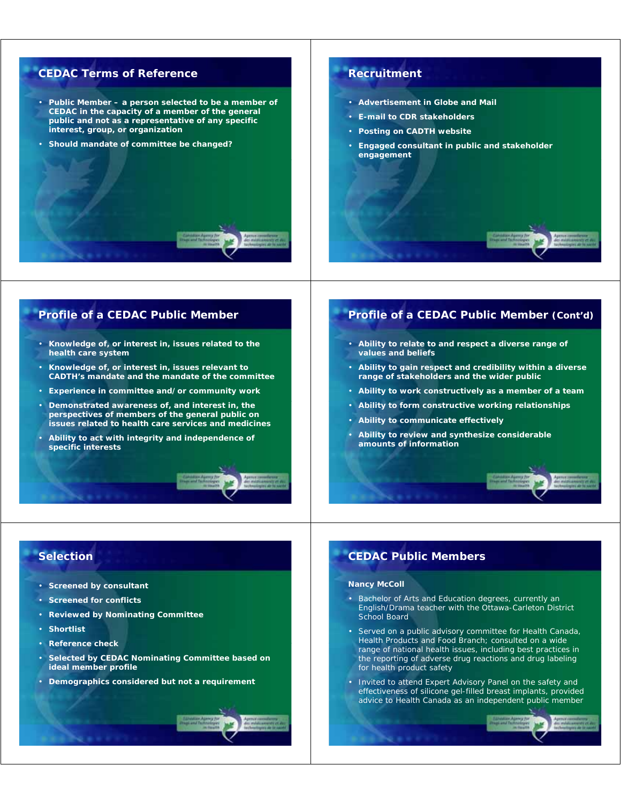# **CEDAC Terms of Reference**

- **Public Member a person selected to be a member of CEDAC in the capacity of a member of the general public and not as a representative of any specific interest, group, or organization**
- **Should mandate of committee be changed?**

### **Recruitment**

- **Advertisement in Globe and Mail**
- **E-mail to CDR stakeholders**
- **Posting on CADTH website**
- **Engaged consultant in public and stakeholder engagement**

### **Profile of a CEDAC Public Member**

- **Knowledge of, or interest in, issues related to the health care system**
- **Knowledge of, or interest in, issues relevant to CADTH's mandate and the mandate of the committee**
- **Experience in committee and/or community work**
- **Demonstrated awareness of, and interest in, the perspectives of members of the general public on issues related to health care services and medicines**
- **Ability to act with integrity and independence of specific interests**

# **Profile of a CEDAC Public Member (Cont'd)**

- **Ability to relate to and respect a diverse range of values and beliefs**
- **Ability to gain respect and credibility within a diverse range of stakeholders and the wider public**
- **Ability to work constructively as a member of a team**
- **Ability to form constructive working relationships**
- **Ability to communicate effectively**
- **Ability to review and synthesize considerable amounts of information**

### **Selection**

- **Screened by consultant**
- **Screened for conflicts**
- **Reviewed by Nominating Committee**
- **Shortlist**
- **Reference check**
- **Selected by CEDAC Nominating Committee based on ideal member profile**
- **Demographics considered but not a requirement**

### **CEDAC Public Members**

#### **Nancy McColl**

- Bachelor of Arts and Education degrees, currently an English/Drama teacher with the Ottawa-Carleton District School Board
- Served on a public advisory committee for Health Canada, Health Products and Food Branch; consulted on a wide range of national health issues, including best practices in the reporting of adverse drug reactions and drug labeling for health product safety
- Invited to attend Expert Advisory Panel on the safety and effectiveness of silicone gel-filled breast implants, provided advice to Health Canada as an independent public member

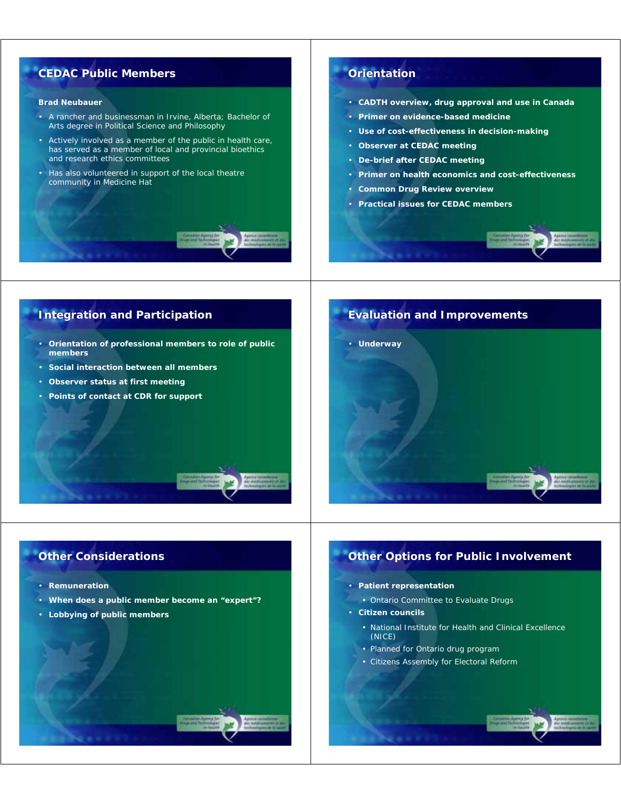# **CEDAC Public Members**

#### **Brad Neubauer**

- A rancher and businessman in Irvine, Alberta; Bachelor of Arts degree in Political Science and Philosophy
- Actively involved as a member of the public in health care, has served as a member of local and provincial bioethics and research ethics committees
- Has also volunteered in support of the local theatre community in Medicine Hat

### **Orientation**

- **CADTH overview, drug approval and use in Canada**
- **Primer on evidence-based medicine**
- **Use of cost-effectiveness in decision-making**
- **Observer at CEDAC meeting**
- **De-brief after CEDAC meeting**
- **Primer on health economics and cost-effectiveness**
- **Common Drug Review overview**
- **Practical issues for CEDAC members**



- **Orientation of professional members to role of public members**
- **Social interaction between all members**
- **Observer status at first meeting**
- **Points of contact at CDR for support**



## **Other Considerations**

- **Remuneration**
- **When does a public member become an "expert"?**
- **Lobbying of public members**

# **Other Options for Public Involvement**

#### • **Patient representation**

- Ontario Committee to Evaluate Drugs
- **Citizen councils**
	- National Institute for Health and Clinical Excellence (NICE)
	- Planned for Ontario drug program
	- Citizens Assembly for Electoral Reform